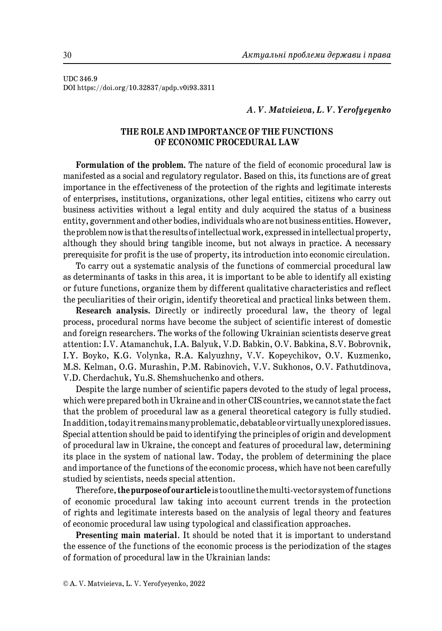UDC 346.9 DOI https://doi.org/10.32837/apdp.v0i93.3311

# *A. V. Matvieieva, L. V. Yerofyeyenko*

# **THE ROLE AND IMPORTANCE OF THE FUNCTIONS OF ECONOMIC PROCEDURAL LAW**

**Formulation of the problem.** The nature of the field of economic procedural law is manifested as a social and regulatory regulator. Based on this, its functions are of great importance in the effectiveness of the protection of the rights and legitimate interests of enterprises, institutions, organizations, other legal entities, citizens who carry out business activities without a legal entity and duly acquired the status of a business entity, government and other bodies, individuals who are not business entities. However, the problem now is that the results of intellectual work, expressed in intellectual property, although they should bring tangible income, but not always in practice. A necessary prerequisite for profit is the use of property, its introduction into economic circulation.

To carry out a systematic analysis of the functions of commercial procedural law as determinants of tasks in this area, it is important to be able to identify all existing or future functions, organize them by different qualitative characteristics and reflect the peculiarities of their origin, identify theoretical and practical links between them.

**Research analysis.** Directly or indirectly procedural law, the theory of legal process, procedural norms have become the subject of scientific interest of domestic and foreign researchers. The works of the following Ukrainian scientists deserve great attention: I.V. Atamanchuk, I.A. Balyuk, V.D. Babkin, O.V. Babkina, S.V. Bobrovnik, I.Y. Boyko, K.G. Volynka, R.A. Kalyuzhny, V.V. Kopeychikov, O.V. Kuzmenko, M.S. Kelman, O.G. Murashin, P.M. Rabinovich, V.V. Sukhonos, O.V. Fathutdinova, V.D. Cherdachuk, Yu.S. Shemshuchenko and others.

Despite the large number of scientific papers devoted to the study of legal process, which were prepared both in Ukraine and in other CIS countries, we cannot state the fact that the problem of procedural law as a general theoretical category is fully studied. In addition, today it remains many problematic, debatable or virtually unexplored issues. Special attention should be paid to identifying the principles of origin and development of procedural law in Ukraine, the concept and features of procedural law, determining its place in the system of national law. Today, the problem of determining the place and importance of the functions of the economic process, which have not been carefully studied by scientists, needs special attention.

Therefore, **the purpose of our article** is to outline the multi-vector system of functions of economic procedural law taking into account current trends in the protection of rights and legitimate interests based on the analysis of legal theory and features of economic procedural law using typological and classification approaches.

**Presenting main material**. It should be noted that it is important to understand the essence of the functions of the economic process is the periodization of the stages of formation of procedural law in the Ukrainian lands: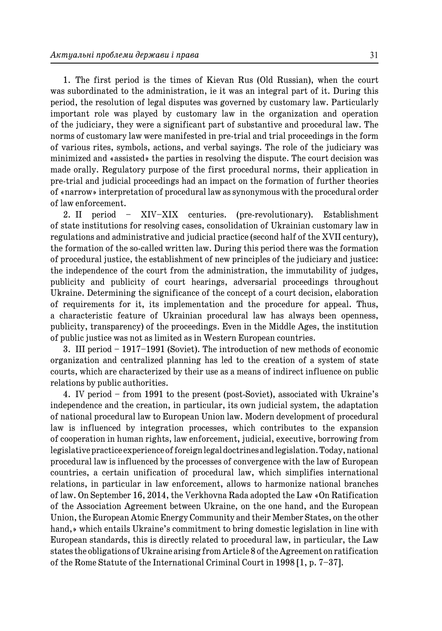1. The first period is the times of Kievan Rus (Old Russian), when the court was subordinated to the administration, ie it was an integral part of it. During this period, the resolution of legal disputes was governed by customary law. Particularly important role was played by customary law in the organization and operation of the judiciary, they were a significant part of substantive and procedural law. The norms of customary law were manifested in pre-trial and trial proceedings in the form of various rites, symbols, actions, and verbal sayings. The role of the judiciary was minimized and «assisted» the parties in resolving the dispute. The court decision was made orally. Regulatory purpose of the first procedural norms, their application in pre-trial and judicial proceedings had an impact on the formation of further theories of «narrow» interpretation of procedural law as synonymous with the procedural order of law enforcement.

2. II period – XIV–XIX centuries. (pre-revolutionary). Establishment of state institutions for resolving cases, consolidation of Ukrainian customary law in regulations and administrative and judicial practice (second half of the XVII century), the formation of the so-called written law. During this period there was the formation of procedural justice, the establishment of new principles of the judiciary and justice: the independence of the court from the administration, the immutability of judges, publicity and publicity of court hearings, adversarial proceedings throughout Ukraine. Determining the significance of the concept of a court decision, elaboration of requirements for it, its implementation and the procedure for appeal. Thus, a characteristic feature of Ukrainian procedural law has always been openness, publicity, transparency) of the proceedings. Even in the Middle Ages, the institution of public justice was not as limited as in Western European countries.

3. III period – 1917–1991 (Soviet). The introduction of new methods of economic organization and centralized planning has led to the creation of a system of state courts, which are characterized by their use as a means of indirect influence on public relations by public authorities.

4. IV period – from 1991 to the present (post-Soviet), associated with Ukraine's independence and the creation, in particular, its own judicial system, the adaptation of national procedural law to European Union law. Modern development of procedural law is influenced by integration processes, which contributes to the expansion of cooperation in human rights, law enforcement, judicial, executive, borrowing from legislative practice experience of foreign legal doctrines and legislation. Today, national procedural law is influenced by the processes of convergence with the law of European countries, a certain unification of procedural law, which simplifies international relations, in particular in law enforcement, allows to harmonize national branches of law. On September 16, 2014, the Verkhovna Rada adopted the Law «On Ratification of the Association Agreement between Ukraine, on the one hand, and the European Union, the European Atomic Energy Community and their Member States, on the other hand,» which entails Ukraine's commitment to bring domestic legislation in line with European standards, this is directly related to procedural law, in particular, the Law states the obligations of Ukraine arising from Article 8 of the Agreement on ratification of the Rome Statute of the International Criminal Court in 1998 [1, p. 7–37].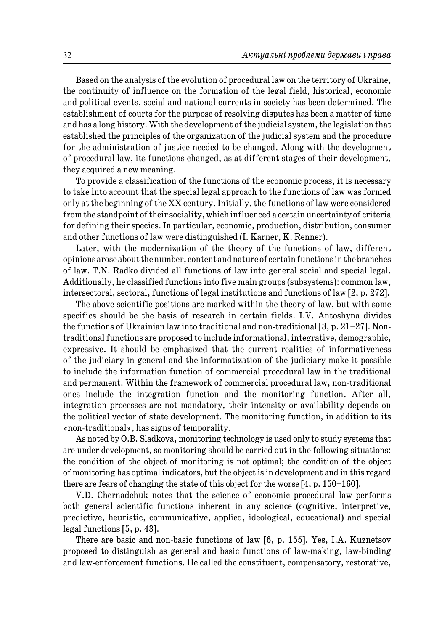Based on the analysis of the evolution of procedural law on the territory of Ukraine, the continuity of influence on the formation of the legal field, historical, economic and political events, social and national currents in society has been determined. The establishment of courts for the purpose of resolving disputes has been a matter of time and has a long history. With the development of the judicial system, the legislation that established the principles of the organization of the judicial system and the procedure for the administration of justice needed to be changed. Along with the development of procedural law, its functions changed, as at different stages of their development, they acquired a new meaning.

To provide a classification of the functions of the economic process, it is necessary to take into account that the special legal approach to the functions of law was formed only at the beginning of the XX century. Initially, the functions of law were considered from the standpoint of their sociality, which influenced a certain uncertainty of criteria for defining their species. In particular, economic, production, distribution, consumer and other functions of law were distinguished (I. Karner, K. Renner).

Later, with the modernization of the theory of the functions of law, different opinions arose about the number, content and nature of certain functions in the branches of law. T.N. Radko divided all functions of law into general social and special legal. Additionally, he classified functions into five main groups (subsystems): common law, intersectoral, sectoral, functions of legal institutions and functions of law [2, p. 272].

The above scientific positions are marked within the theory of law, but with some specifics should be the basis of research in certain fields. I.V. Antoshyna divides the functions of Ukrainian law into traditional and non-traditional [3, p. 21–27]. Nontraditional functions are proposed to include informational, integrative, demographic, expressive. It should be emphasized that the current realities of informativeness of the judiciary in general and the informatization of the judiciary make it possible to include the information function of commercial procedural law in the traditional and permanent. Within the framework of commercial procedural law, non-traditional ones include the integration function and the monitoring function. After all, integration processes are not mandatory, their intensity or availability depends on the political vector of state development. The monitoring function, in addition to its «non-traditional», has signs of temporality.

As noted by O.B. Sladkova, monitoring technology is used only to study systems that are under development, so monitoring should be carried out in the following situations: the condition of the object of monitoring is not optimal; the condition of the object of monitoring has optimal indicators, but the object is in development and in this regard there are fears of changing the state of this object for the worse [4, p. 150–160].

V.D. Chernadchuk notes that the science of economic procedural law performs both general scientific functions inherent in any science (cognitive, interpretive, predictive, heuristic, communicative, applied, ideological, educational) and special legal functions [5, p. 43].

There are basic and non-basic functions of law [6, p. 155]. Yes, I.A. Kuznetsov proposed to distinguish as general and basic functions of law-making, law-binding and law-enforcement functions. He called the constituent, compensatory, restorative,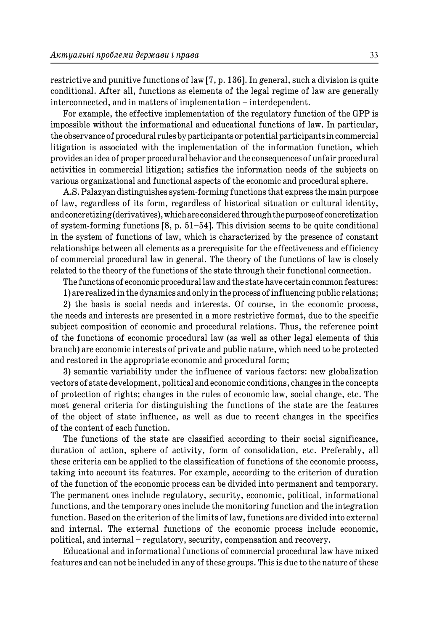restrictive and punitive functions of law [7, p. 136]. In general, such a division is quite conditional. After all, functions as elements of the legal regime of law are generally interconnected, and in matters of implementation – interdependent.

For example, the effective implementation of the regulatory function of the GPP is impossible without the informational and educational functions of law. In particular, the observance of procedural rules by participants or potential participants in commercial litigation is associated with the implementation of the information function, which provides an idea of proper procedural behavior and the consequences of unfair procedural activities in commercial litigation; satisfies the information needs of the subjects on various organizational and functional aspects of the economic and procedural sphere.

A.S. Palazyan distinguishes system-forming functions that express the main purpose of law, regardless of its form, regardless of historical situation or cultural identity, and concretizing (derivatives), which are considered through the purpose of concretization of system-forming functions  $[8, p. 51–54]$ . This division seems to be quite conditional in the system of functions of law, which is characterized by the presence of constant relationships between all elements as a prerequisite for the effectiveness and efficiency of commercial procedural law in general. The theory of the functions of law is closely related to the theory of the functions of the state through their functional connection.

The functions of economic procedural law and the state have certain common features:

1) are realized in the dynamics and only in the process of influencing public relations;

2) the basis is social needs and interests. Of course, in the economic process, the needs and interests are presented in a more restrictive format, due to the specific subject composition of economic and procedural relations. Thus, the reference point of the functions of economic procedural law (as well as other legal elements of this branch) are economic interests of private and public nature, which need to be protected and restored in the appropriate economic and procedural form;

3) semantic variability under the influence of various factors: new globalization vectors of state development, political and economic conditions, changes in the concepts of protection of rights; changes in the rules of economic law, social change, etc. The most general criteria for distinguishing the functions of the state are the features of the object of state influence, as well as due to recent changes in the specifics of the content of each function.

The functions of the state are classified according to their social significance, duration of action, sphere of activity, form of consolidation, etc. Preferably, all these criteria can be applied to the classification of functions of the economic process, taking into account its features. For example, according to the criterion of duration of the function of the economic process can be divided into permanent and temporary. The permanent ones include regulatory, security, economic, political, informational functions, and the temporary ones include the monitoring function and the integration function. Based on the criterion of the limits of law, functions are divided into external and internal. The external functions of the economic process include economic, political, and internal – regulatory, security, compensation and recovery.

Educational and informational functions of commercial procedural law have mixed features and can not be included in any of these groups. This is due to the nature of these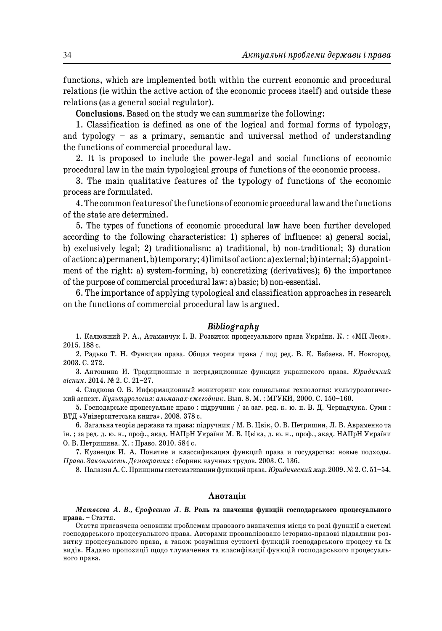functions, which are implemented both within the current economic and procedural relations (ie within the active action of the economic process itself) and outside these relations (as a general social regulator).

**Conclusions.** Based on the study we can summarize the following:

1. Classification is defined as one of the logical and formal forms of typology, and typology – as a primary, semantic and universal method of understanding the functions of commercial procedural law.

2. It is proposed to include the power-legal and social functions of economic procedural law in the main typological groups of functions of the economic process.

3. The main qualitative features of the typology of functions of the economic process are formulated.

4. The common features of the functions of economic procedural law and the functions of the state are determined.

5. The types of functions of economic procedural law have been further developed according to the following characteristics: 1) spheres of influence: a) general social, b) exclusively legal; 2) traditionalism: a) traditional, b) non-traditional; 3) duration of action: a) permanent, b) temporary; 4) limits of action: a) external; b) internal; 5) appointment of the right: a) system-forming, b) concretizing (derivatives); 6) the importance of the purpose of commercial procedural law: a) basic; b) non-essential.

6. The importance of applying typological and classification approaches in research on the functions of commercial procedural law is argued.

### *Bibliography*

1. Калюжний Р. А., Атаманчук І. В. Розвиток процесуального права України. К. : «МП Леся». 2015. 188 с.

2. Радько Т. Н. Функции права. Общая теория права / под ред. В. К. Бабаева. Н. Новгород, 2003. С. 272.

3. Антошина И. Традиционные и нетрадиционные функции украинского права. *Юридичний вісник*. 2014. № 2. С. 21–27.

4. Сладкова О. Б. Информационный мониторинг как социальная технология: культурологический аспект. *Культурология: альманах-ежегодник*. Вып. 8. М. : МГУКИ, 2000. С. 150–160.

5. Господарське процесуальне право : підручник / за заг. ред. к. ю. н. В. Д. Чернадчука. Суми : ВТД «Університетська книга». 2008. 378 с.

6. Загальна теорія держави та права: підручник / М. В. Цвік, О. В. Петришин, Л. В. Авраменко та ін. ; за ред. д. ю. н., проф., акад. НАПрН України М. В. Цвіка, д. ю. н., проф., акад. НАПрН України О. В. Петришина. Х. : Право. 2010. 584 с.

7. Кузнецов И. А. Понятие и классификация функций права и государства: новые подходы. *Право. Законность. Демократия* : сборник научных трудов. 2003. С. 136.

8. Палазян А. С. Принципы систематизации функций права. *Юридический мир.* 2009. № 2. С. 51–54.

## **Анотація**

*Матвєєва А. В., Єрофєєнко Л. В.* **Роль та значення функцій господарського процесуального права.** – Стаття.

Стаття присвячена основним проблемам правового визначення місця та ролі функції в системі господарського процесуального права. Авторами проаналізовано історико-правові підвалини розвитку процесуального права, а також розуміння сутності функцій господарського процесу та їх видів. Надано пропозиції щодо тлумачення та класифікації функцій господарського процесуального права.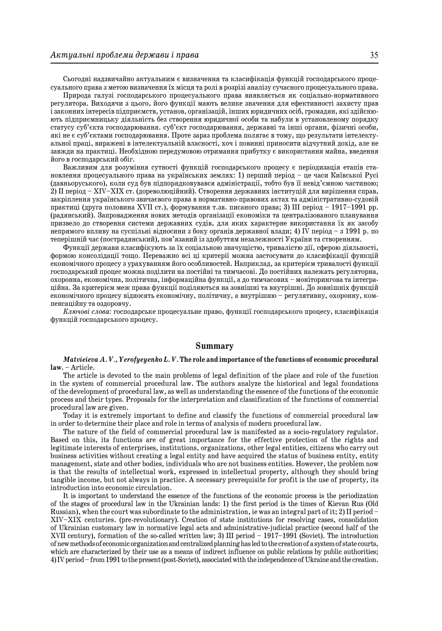Сьогодні надзвичайно актуальним є визначення та класифікація функцій господарського процесуального права з метою визначення їх місця та ролі в розрізі аналізу сучасного процесуального права.

Природа галузі господарського процесуального права виявляється як соціально-нормативного регулятора. Виходячи з цього, його функції мають велике значення для ефективності захисту прав і законних інтересів підприємств, установ, організацій, інших юридичних осіб, громадян, які здійснюють підприємницьку діяльність без створення юридичної особи та набули в установленому порядку статусу суб'єкта господарювання. суб'єкт господарювання, державні та інші органи, фізичні особи, які не є суб'єктами господарювання. Проте зараз проблема полягає в тому, що результати інтелектуальної праці, виражені в інтелектуальній власності, хоч і повинні приносити відчутний дохід, але не завжди на практиці. Необхідною передумовою отримання прибутку є використання майна, введення його в господарський обіг.

Важливим для розуміння сутності функцій господарського процесу є періодизація етапів становлення процесуального права на українських землях: 1) перший період – це часи Київської Русі (давньоруського), коли суд був підпорядковувався адміністрації, тобто був її невід'ємною частиною; 2) II період – XIV–XIX ст. (дореволюційний). Створення державних інституцій для вирішення справ, закріплення українського звичаєвого права в нормативно-правових актах та адміністративно-судовій практиці (друга половина XVII ст.), формування т.зв. писаного права; 3) III період – 1917–1991 рр. (радянський). Запровадження нових методів організації економіки та централізованого планування призвело до створення системи державних судів, для яких характерне використання їх як засобу непрямого впливу на суспільні відносини з боку органів державної влади; 4) IV період – з 1991 р. по теперішній час (пострадянський), пов'язаний із здобуттям незалежності України та створенням.

Функції держави класифікують за їх соціальною значущістю, тривалістю дії, сферою діяльності, формою консолідації тощо. Переважно всі ці критерії можна застосувати до класифікації функцій економічного процесу з урахуванням його особливостей. Наприклад, за критерієм тривалості функції господарський процес можна поділити на постійні та тимчасові. До постійних належать регуляторна, охоронна, економічна, політична, інформаційна функції, а до тимчасових – моніторингова та інтеграційна. За критерієм меж права функції поділяються на зовнішні та внутрішні. До зовнішніх функцій економічного процесу відносять економічну, політичну, а внутрішню – регулятивну, охоронну, компенсаційну та оздоровчу.

*Ключові слова:* господарське процесуальне право, функції господарського процесу, класифікація функцій господарського процесу.

#### **Summary**

#### *Matvieieva A. V., Yerofyeyenko L. V.* **The role and importance of the functions of economic procedural law.** – Article.

The article is devoted to the main problems of legal definition of the place and role of the function in the system of commercial procedural law. The authors analyze the historical and legal foundations of the development of procedural law, as well as understanding the essence of the functions of the economic process and their types. Proposals for the interpretation and classification of the functions of commercial procedural law are given.

Today it is extremely important to define and classify the functions of commercial procedural law in order to determine their place and role in terms of analysis of modern procedural law.

The nature of the field of commercial procedural law is manifested as a socio-regulatory regulator. Based on this, its functions are of great importance for the effective protection of the rights and legitimate interests of enterprises, institutions, organizations, other legal entities, citizens who carry out business activities without creating a legal entity and have acquired the status of business entity, entity management, state and other bodies, individuals who are not business entities. However, the problem now is that the results of intellectual work, expressed in intellectual property, although they should bring tangible income, but not always in practice. A necessary prerequisite for profit is the use of property, its introduction into economic circulation.

It is important to understand the essence of the functions of the economic process is the periodization of the stages of procedural law in the Ukrainian lands: 1) the first period is the times of Kievan Rus (Old Russian), when the court was subordinate to the administration, ie was an integral part of it; 2) II period – XIV–XIX centuries. (pre-revolutionary). Creation of state institutions for resolving cases, consolidation of Ukrainian customary law in normative legal acts and administrative-judicial practice (second half of the XVII century), formation of the so-called written law; 3) III period – 1917–1991 (Soviet). The introduction of new methods of economic organization and centralized planning has led to the creation of a system of state courts, which are characterized by their use as a means of indirect influence on public relations by public authorities; 4) IV period – from 1991 to the present (post-Soviet), associated with the independence of Ukraine and the creation.